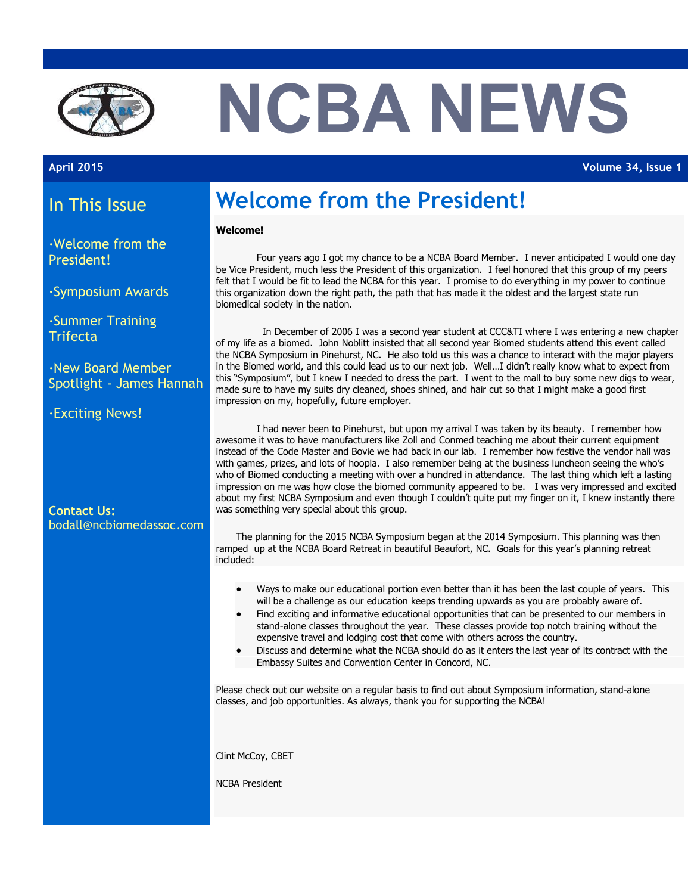

# **NCBA NEWS**

**April 2015 Volume 34, Issue 1**

#### In This Issue

·Welcome from the President!

·Symposium Awards

·Summer Training **Trifecta** 

·New Board Member Spotlight - James Hannah

·Exciting News!

**Contact Us:** bodall@ncbiomedassoc.com

## **Welcome from the President!**

#### **Welcome!**

Four years ago I got my chance to be a NCBA Board Member. I never anticipated I would one day be Vice President, much less the President of this organization. I feel honored that this group of my peers felt that I would be fit to lead the NCBA for this year. I promise to do everything in my power to continue this organization down the right path, the path that has made it the oldest and the largest state run biomedical society in the nation.

In December of 2006 I was a second year student at CCC&TI where I was entering a new chapter of my life as a biomed. John Noblitt insisted that all second year Biomed students attend this event called the NCBA Symposium in Pinehurst, NC. He also told us this was a chance to interact with the major players in the Biomed world, and this could lead us to our next job. Well…I didn't really know what to expect from this "Symposium", but I knew I needed to dress the part. I went to the mall to buy some new digs to wear, made sure to have my suits dry cleaned, shoes shined, and hair cut so that I might make a good first impression on my, hopefully, future employer.

I had never been to Pinehurst, but upon my arrival I was taken by its beauty. I remember how awesome it was to have manufacturers like Zoll and Conmed teaching me about their current equipment instead of the Code Master and Bovie we had back in our lab. I remember how festive the vendor hall was with games, prizes, and lots of hoopla. I also remember being at the business luncheon seeing the who's who of Biomed conducting a meeting with over a hundred in attendance. The last thing which left a lasting impression on me was how close the biomed community appeared to be. I was very impressed and excited about my first NCBA Symposium and even though I couldn't quite put my finger on it, I knew instantly there was something very special about this group.

The planning for the 2015 NCBA Symposium began at the 2014 Symposium. This planning was then ramped up at the NCBA Board Retreat in beautiful Beaufort, NC. Goals for this year's planning retreat included:

- Ways to make our educational portion even better than it has been the last couple of years. This will be a challenge as our education keeps trending upwards as you are probably aware of.
- Find exciting and informative educational opportunities that can be presented to our members in stand-alone classes throughout the year. These classes provide top notch training without the expensive travel and lodging cost that come with others across the country.
- Discuss and determine what the NCBA should do as it enters the last year of its contract with the Embassy Suites and Convention Center in Concord, NC.

Please check out our website on a regular basis to find out about Symposium information, stand-alone classes, and job opportunities. As always, thank you for supporting the NCBA!

Clint McCoy, CBET

NCBA President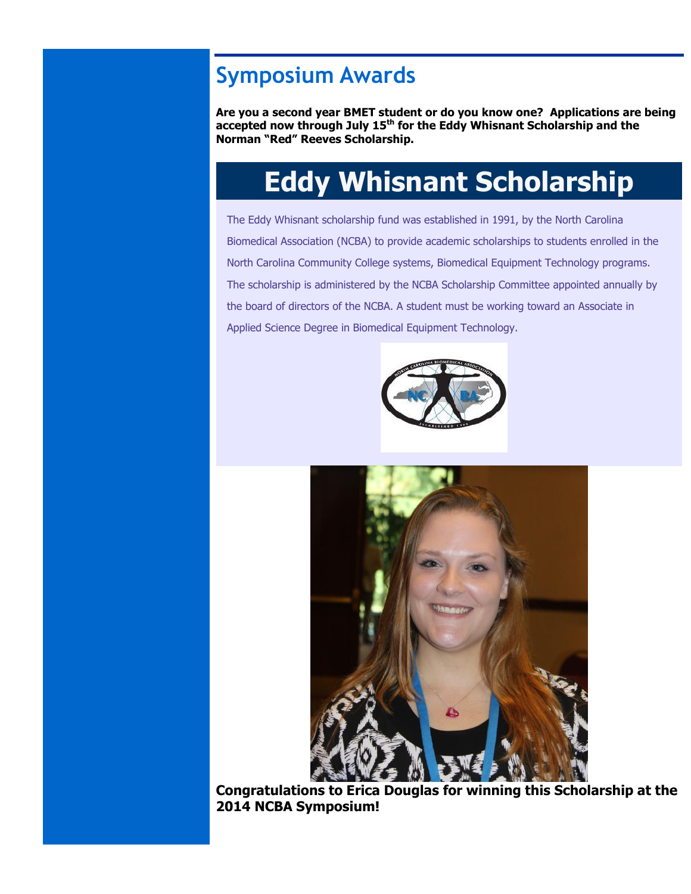## **Symposium Awards**

**Are you a second year BMET student or do you know one? Applications are being accepted now through July 15th for the Eddy Whisnant Scholarship and the Norman "Red" Reeves Scholarship.**

## **Eddy Whisnant Scholarship**

The Eddy Whisnant scholarship fund was established in 1991, by the North Carolina Biomedical Association (NCBA) to provide academic scholarships to students enrolled in the North Carolina Community College systems, Biomedical Equipment Technology programs. The scholarship is administered by the NCBA Scholarship Committee appointed annually by the board of directors of the NCBA. A student must be working toward an Associate in Applied Science Degree in Biomedical Equipment Technology.





**Congratulations to Erica Douglas for winning this Scholarship at the 2014 NCBA Symposium!**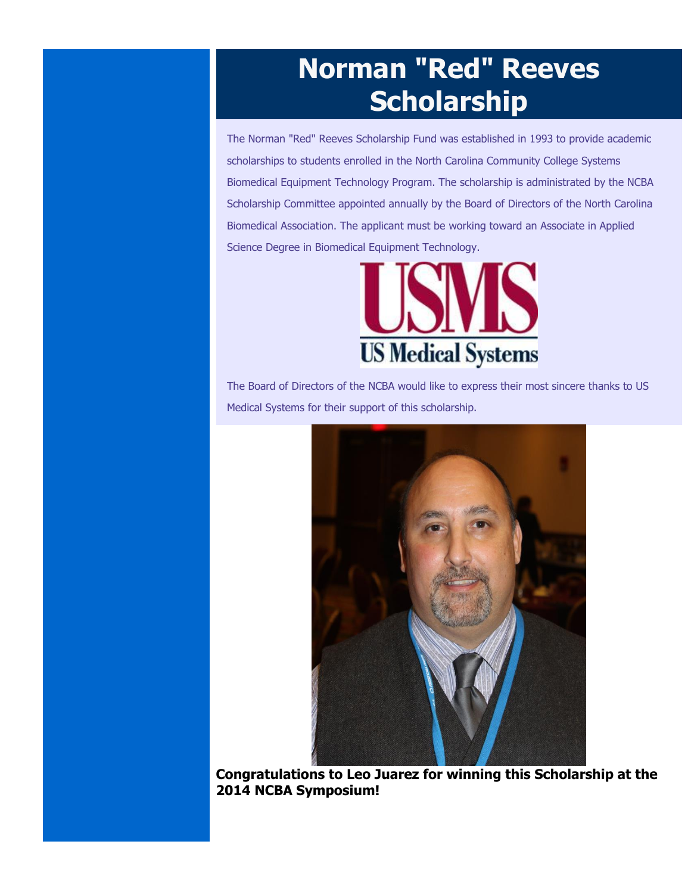## **Norman "Red" Reeves Scholarship**

The Norman "Red" Reeves Scholarship Fund was established in 1993 to provide academic scholarships to students enrolled in the North Carolina Community College Systems Biomedical Equipment Technology Program. The scholarship is administrated by the NCBA Scholarship Committee appointed annually by the Board of Directors of the North Carolina Biomedical Association. The applicant must be working toward an Associate in Applied Science Degree in Biomedical Equipment Technology.



The Board of Directors of the NCBA would like to express their most sincere thanks to US Medical Systems for their support of this scholarship.



**Congratulations to Leo Juarez for winning this Scholarship at the 2014 NCBA Symposium!**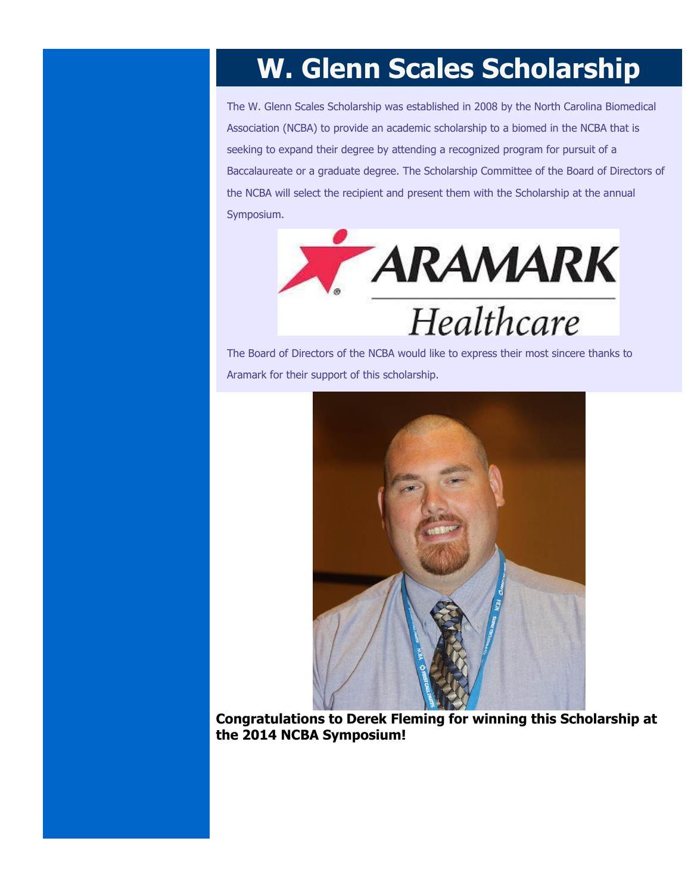## **W. Glenn Scales Scholarship**

The W. Glenn Scales Scholarship was established in 2008 by the North Carolina Biomedical Association (NCBA) to provide an academic scholarship to a biomed in the NCBA that is seeking to expand their degree by attending a recognized program for pursuit of a Baccalaureate or a graduate degree. The Scholarship Committee of the Board of Directors of the NCBA will select the recipient and present them with the Scholarship at the annual Symposium.



The Board of Directors of the NCBA would like to express their most sincere thanks to Aramark for their support of this scholarship.



**Congratulations to Derek Fleming for winning this Scholarship at the 2014 NCBA Symposium!**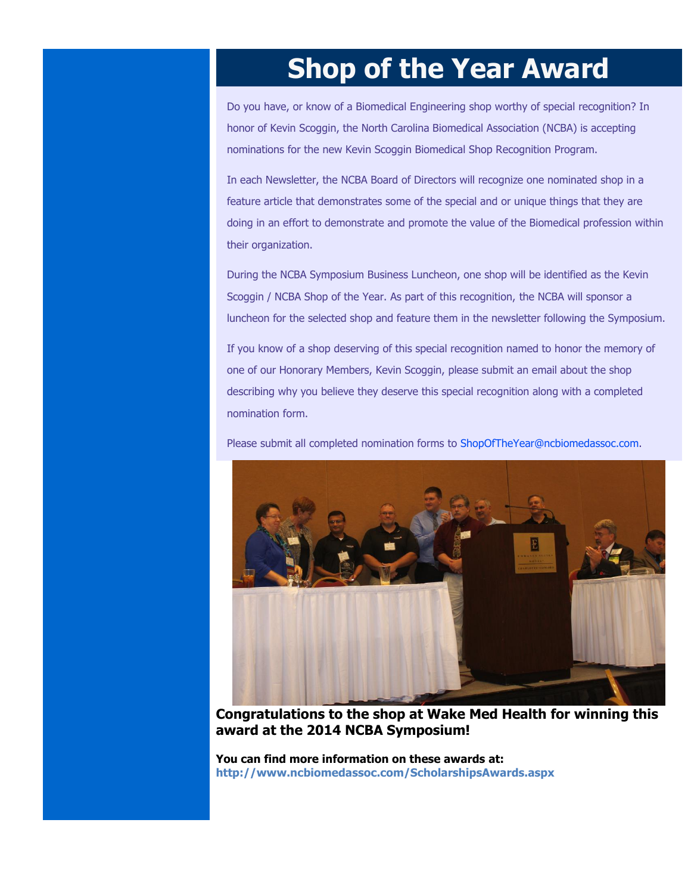## **Shop of the Year Award**

Do you have, or know of a Biomedical Engineering shop worthy of special recognition? In honor of Kevin Scoggin, the North Carolina Biomedical Association (NCBA) is accepting nominations for the new Kevin Scoggin Biomedical Shop Recognition Program.

In each Newsletter, the NCBA Board of Directors will recognize one nominated shop in a feature article that demonstrates some of the special and or unique things that they are doing in an effort to demonstrate and promote the value of the Biomedical profession within their organization.

During the NCBA Symposium Business Luncheon, one shop will be identified as the Kevin Scoggin / NCBA Shop of the Year. As part of this recognition, the NCBA will sponsor a luncheon for the selected shop and feature them in the newsletter following the Symposium.

If you know of a shop deserving of this special recognition named to honor the memory of one of our Honorary Members, Kevin Scoggin, please submit an email about the shop describing why you believe they deserve this special recognition along with a completed nomination form.

Please submit all completed nomination forms to [ShopOfTheYear@ncbiomedassoc.com.](mailto:shopoftheyear@ncbiomedassoc.com)



**Congratulations to the shop at Wake Med Health for winning this award at the 2014 NCBA Symposium!**

**You can find more information on these awards at: <http://www.ncbiomedassoc.com/ScholarshipsAwards.aspx>**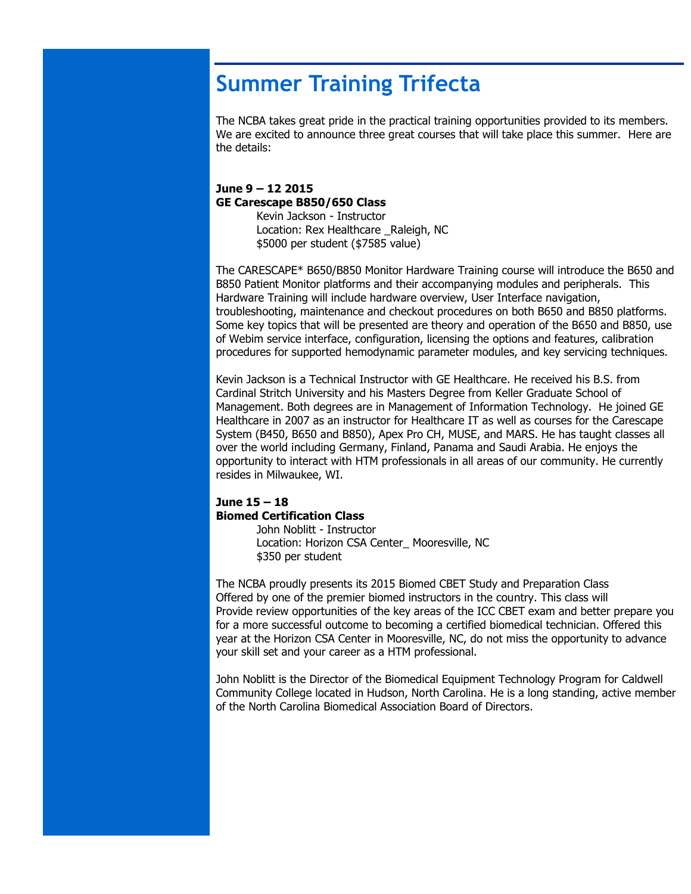## **Summer Training Trifecta**

The NCBA takes great pride in the practical training opportunities provided to its members. We are excited to announce three great courses that will take place this summer. Here are the details:

#### **June 9 – 12 2015 GE Carescape B850/650 Class** Kevin Jackson - Instructor

Location: Rex Healthcare Raleigh, NC \$5000 per student (\$7585 value)

The CARESCAPE\* B650/B850 Monitor Hardware Training course will introduce the B650 and B850 Patient Monitor platforms and their accompanying modules and peripherals. This Hardware Training will include hardware overview, User Interface navigation, troubleshooting, maintenance and checkout procedures on both B650 and B850 platforms. Some key topics that will be presented are theory and operation of the B650 and B850, use of Webim service interface, configuration, licensing the options and features, calibration procedures for supported hemodynamic parameter modules, and key servicing techniques.

Kevin Jackson is a Technical Instructor with GE Healthcare. He received his B.S. from Cardinal Stritch University and his Masters Degree from Keller Graduate School of Management. Both degrees are in Management of Information Technology. He joined GE Healthcare in 2007 as an instructor for Healthcare IT as well as courses for the Carescape System (B450, B650 and B850), Apex Pro CH, MUSE, and MARS. He has taught classes all over the world including Germany, Finland, Panama and Saudi Arabia. He enjoys the opportunity to interact with HTM professionals in all areas of our community. He currently resides in Milwaukee, WI.

#### **June 15 – 18 Biomed Certification Class**

John Noblitt - Instructor Location: Horizon CSA Center\_ Mooresville, NC \$350 per student

The NCBA proudly presents its 2015 Biomed CBET Study and Preparation Class Offered by one of the premier biomed instructors in the country. This class will Provide review opportunities of the key areas of the ICC CBET exam and better prepare you for a more successful outcome to becoming a certified biomedical technician. Offered this year at the Horizon CSA Center in Mooresville, NC, do not miss the opportunity to advance your skill set and your career as a HTM professional.

John Noblitt is the Director of the Biomedical Equipment Technology Program for Caldwell Community College located in Hudson, North Carolina. He is a long standing, active member of the North Carolina Biomedical Association Board of Directors.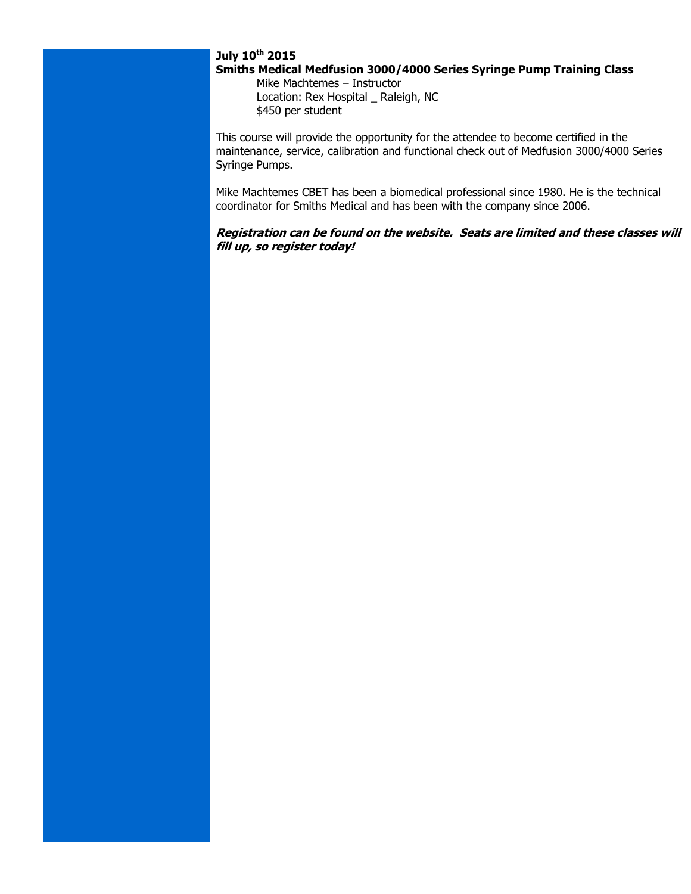#### **July 10th 2015**

#### **Smiths Medical Medfusion 3000/4000 Series Syringe Pump Training Class**

Mike Machtemes – Instructor Location: Rex Hospital \_ Raleigh, NC \$450 per student

This course will provide the opportunity for the attendee to become certified in the maintenance, service, calibration and functional check out of Medfusion 3000/4000 Series Syringe Pumps.

Mike Machtemes CBET has been a biomedical professional since 1980. He is the technical coordinator for Smiths Medical and has been with the company since 2006.

#### **Registration can be found on the website. Seats are limited and these classes will fill up, so register today!**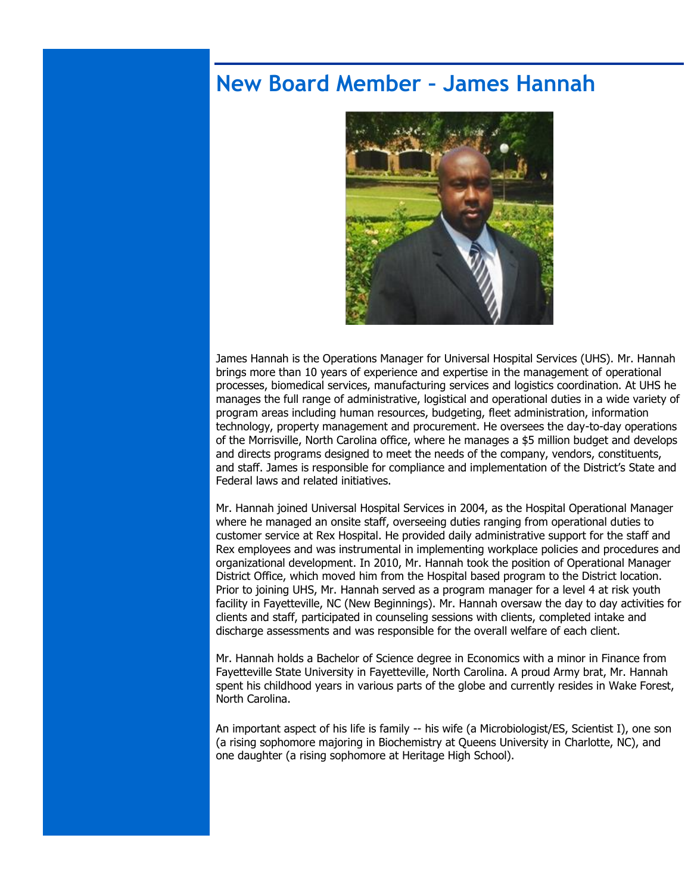#### **New Board Member – James Hannah**



James Hannah is the Operations Manager for Universal Hospital Services (UHS). Mr. Hannah brings more than 10 years of experience and expertise in the management of operational processes, biomedical services, manufacturing services and logistics coordination. At UHS he manages the full range of administrative, logistical and operational duties in a wide variety of program areas including human resources, budgeting, fleet administration, information technology, property management and procurement. He oversees the day-to-day operations of the Morrisville, North Carolina office, where he manages a \$5 million budget and develops and directs programs designed to meet the needs of the company, vendors, constituents, and staff. James is responsible for compliance and implementation of the District's State and Federal laws and related initiatives.

Mr. Hannah joined Universal Hospital Services in 2004, as the Hospital Operational Manager where he managed an onsite staff, overseeing duties ranging from operational duties to customer service at Rex Hospital. He provided daily administrative support for the staff and Rex employees and was instrumental in implementing workplace policies and procedures and organizational development. In 2010, Mr. Hannah took the position of Operational Manager District Office, which moved him from the Hospital based program to the District location. Prior to joining UHS, Mr. Hannah served as a program manager for a level 4 at risk youth facility in Fayetteville, NC (New Beginnings). Mr. Hannah oversaw the day to day activities for clients and staff, participated in counseling sessions with clients, completed intake and discharge assessments and was responsible for the overall welfare of each client.

Mr. Hannah holds a Bachelor of Science degree in Economics with a minor in Finance from Fayetteville State University in Fayetteville, North Carolina. A proud Army brat, Mr. Hannah spent his childhood years in various parts of the globe and currently resides in Wake Forest, North Carolina.

An important aspect of his life is family -- his wife (a Microbiologist/ES, Scientist I), one son (a rising sophomore majoring in Biochemistry at Queens University in Charlotte, NC), and one daughter (a rising sophomore at Heritage High School).